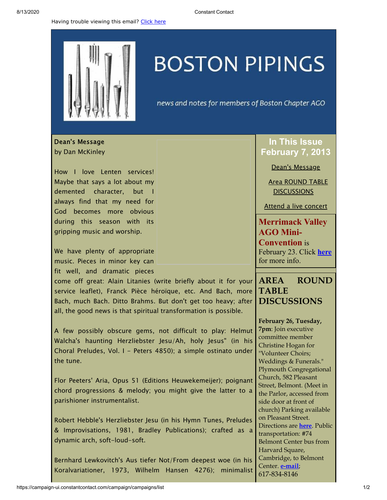Having trouble viewing this email? [Click](http://campaign.r20.constantcontact.com/render?preview=true&m=1105786651064&ca=3b8a81e0-b46e-48ce-ab64-d25707407a7f&id=preview) here

## **BOSTON PIPINGS**

news and notes for members of Boston Chapter AGO

<span id="page-0-0"></span>Dean's Message by Dan McKinley

How I love Lenten services! Maybe that says a lot about my demented character, but I always find that my need for God becomes more obvious during this season with its gripping music and worship.

We have plenty of appropriate music. Pieces in minor key can fit well, and dramatic pieces

come off great: Alain Litanies (write briefly about it for your service leaflet), Franck Pièce héroïque, etc. And Bach, more Bach, much Bach. Ditto Brahms. But don't get too heavy; after all, the good news is that spiritual transformation is possible.

A few possibly obscure gems, not difficult to play: Helmut Walcha's haunting Herzliebster Jesu/Ah, holy Jesus" (in his Choral Preludes, Vol. I - Peters 4850); a simple ostinato under the tune.

Flor Peeters' Aria, Opus 51 (Editions Heuwekemeijer); poignant chord progressions & melody; you might give the latter to a parishioner instrumentalist.

Robert Hebble's Herzliebster Jesu (in his Hymn Tunes, Preludes & Improvisations, 1981, Bradley Publications); crafted as a dynamic arch, soft-loud-soft.

Bernhard Lewkovitch's Aus tiefer Not/From deepest woe (in his Koralvariationer, 1973, Wilhelm Hansen 4276); minimalist

## **In This Issue February 7, 2013**

Dean's [Message](#page-0-0)

Area ROUND TABLE **[DISCUSSIONS](#page-0-1)** 

Attend a live [concert](#page-1-0)

**Merrimack Valley AGO Mini-Convention** is February 23. Click **[here](http://library.constantcontact.com/doc208/1105786651064/doc/13dBNk01XuWXbXOZ.pdf)** for more info.

## <span id="page-0-1"></span>**AREA ROUND TABLE DISCUSSIONS**

**February 26, Tuesday, 7pm**: Join executive committee member Christine Hogan for "Volunteer Choirs; Weddings & Funerals." Plymouth Congregational Church, 582 Pleasant Street, Belmont. (Meet in the Parlor, accessed from side door at front of church) Parking available on Pleasant Street. Directions are **[here](http://www.plymouthchurch.net/for-visitors)**. Public transportation: #74 Belmont Center bus from Harvard Square, Cambridge, to Belmont Center. **[e-mail](mailto:christine@hogans.org)**; 617-834-8146